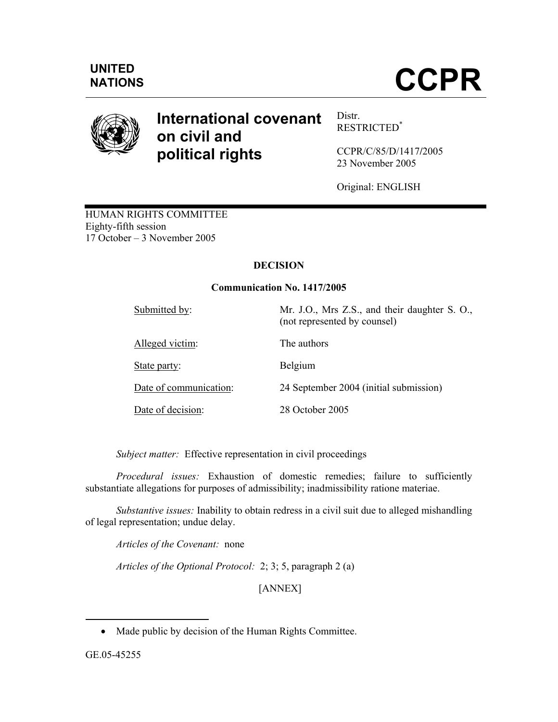

# **International covenant on civil and political rights**

Distr. RESTRICTED\*

CCPR/C/85/D/1417**/**2005 23 November 2005

Original: ENGLISH

HUMAN RIGHTS COMMITTEE Eighty-fifth session 17 October – 3 November 2005

# **DECISION**

# **Communication No. 1417/2005**

| Submitted by:          | Mr. J.O., Mrs Z.S., and their daughter S. O.,<br>(not represented by counsel) |
|------------------------|-------------------------------------------------------------------------------|
| Alleged victim:        | The authors                                                                   |
| State party:           | Belgium                                                                       |
| Date of communication: | 24 September 2004 (initial submission)                                        |
| Date of decision:      | 28 October 2005                                                               |

*Subject matter:* Effective representation in civil proceedings

*Procedural issues:* Exhaustion of domestic remedies; failure to sufficiently substantiate allegations for purposes of admissibility; inadmissibility ratione materiae.

*Substantive issues:* Inability to obtain redress in a civil suit due to alleged mishandling of legal representation; undue delay.

 *Articles of the Covenant:* none

*Articles of the Optional Protocol:* 2; 3; 5, paragraph 2 (a)

[ANNEX]

-

<sup>•</sup> Made public by decision of the Human Rights Committee.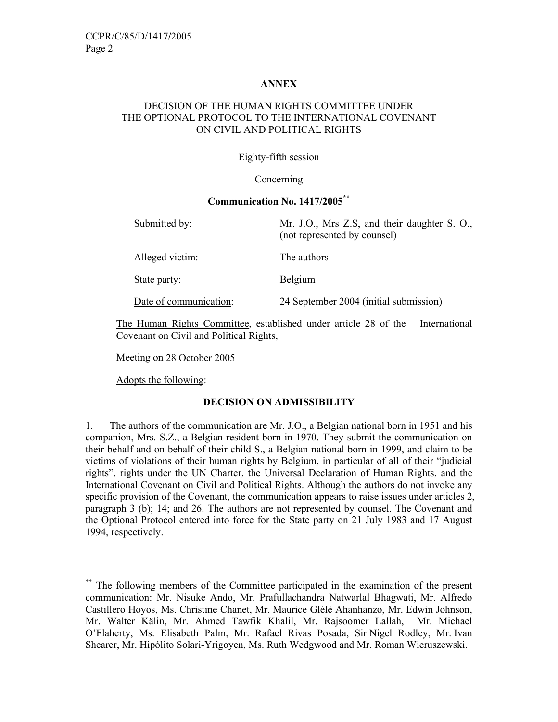#### **ANNEX**

## DECISION OF THE HUMAN RIGHTS COMMITTEE UNDER THE OPTIONAL PROTOCOL TO THE INTERNATIONAL COVENANT ON CIVIL AND POLITICAL RIGHTS

#### Eighty-fifth session

#### Concerning

#### **Communication No. 1417/2005\*\***

| Submitted by:          | Mr. J.O., Mrs Z.S., and their daughter S. O.,<br>(not represented by counsel) |
|------------------------|-------------------------------------------------------------------------------|
| Alleged victim:        | The authors                                                                   |
| State party:           | Belgium                                                                       |
| Date of communication: | 24 September 2004 (initial submission)                                        |

The Human Rights Committee, established under article 28 of the International Covenant on Civil and Political Rights,

Meeting on 28 October 2005

Adopts the following:

-

#### **DECISION ON ADMISSIBILITY**

1. The authors of the communication are Mr. J.O., a Belgian national born in 1951 and his companion, Mrs. S.Z., a Belgian resident born in 1970. They submit the communication on their behalf and on behalf of their child S., a Belgian national born in 1999, and claim to be victims of violations of their human rights by Belgium, in particular of all of their "judicial rights", rights under the UN Charter, the Universal Declaration of Human Rights, and the International Covenant on Civil and Political Rights. Although the authors do not invoke any specific provision of the Covenant, the communication appears to raise issues under articles 2, paragraph 3 (b); 14; and 26. The authors are not represented by counsel. The Covenant and the Optional Protocol entered into force for the State party on 21 July 1983 and 17 August 1994, respectively.

The following members of the Committee participated in the examination of the present communication: Mr. Nisuke Ando, Mr. Prafullachandra Natwarlal Bhagwati, Mr. Alfredo Castillero Hoyos, Ms. Christine Chanet, Mr. Maurice Glèlè Ahanhanzo, Mr. Edwin Johnson, Mr. Walter Kälin, Mr. Ahmed Tawfik Khalil, Mr. Rajsoomer Lallah, Mr. Michael O'Flaherty, Ms. Elisabeth Palm, Mr. Rafael Rivas Posada, Sir Nigel Rodley, Mr. Ivan Shearer, Mr. Hipólito Solari-Yrigoyen, Ms. Ruth Wedgwood and Mr. Roman Wieruszewski.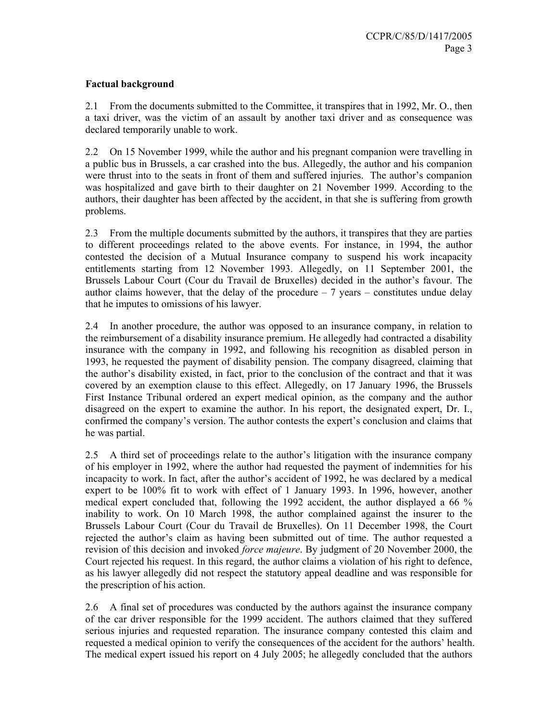# **Factual background**

2.1 From the documents submitted to the Committee, it transpires that in 1992, Mr. O., then a taxi driver, was the victim of an assault by another taxi driver and as consequence was declared temporarily unable to work.

2.2 On 15 November 1999, while the author and his pregnant companion were travelling in a public bus in Brussels, a car crashed into the bus. Allegedly, the author and his companion were thrust into to the seats in front of them and suffered injuries. The author's companion was hospitalized and gave birth to their daughter on 21 November 1999. According to the authors, their daughter has been affected by the accident, in that she is suffering from growth problems.

2.3 From the multiple documents submitted by the authors, it transpires that they are parties to different proceedings related to the above events. For instance, in 1994, the author contested the decision of a Mutual Insurance company to suspend his work incapacity entitlements starting from 12 November 1993. Allegedly, on 11 September 2001, the Brussels Labour Court (Cour du Travail de Bruxelles) decided in the author's favour. The author claims however, that the delay of the procedure  $-7$  years – constitutes undue delay that he imputes to omissions of his lawyer.

2.4 In another procedure, the author was opposed to an insurance company, in relation to the reimbursement of a disability insurance premium. He allegedly had contracted a disability insurance with the company in 1992, and following his recognition as disabled person in 1993, he requested the payment of disability pension. The company disagreed, claiming that the author's disability existed, in fact, prior to the conclusion of the contract and that it was covered by an exemption clause to this effect. Allegedly, on 17 January 1996, the Brussels First Instance Tribunal ordered an expert medical opinion, as the company and the author disagreed on the expert to examine the author. In his report, the designated expert, Dr. I., confirmed the company's version. The author contests the expert's conclusion and claims that he was partial.

2.5 A third set of proceedings relate to the author's litigation with the insurance company of his employer in 1992, where the author had requested the payment of indemnities for his incapacity to work. In fact, after the author's accident of 1992, he was declared by a medical expert to be 100% fit to work with effect of 1 January 1993. In 1996, however, another medical expert concluded that, following the 1992 accident, the author displayed a 66 % inability to work. On 10 March 1998, the author complained against the insurer to the Brussels Labour Court (Cour du Travail de Bruxelles). On 11 December 1998, the Court rejected the author's claim as having been submitted out of time. The author requested a revision of this decision and invoked *force majeure*. By judgment of 20 November 2000, the Court rejected his request. In this regard, the author claims a violation of his right to defence, as his lawyer allegedly did not respect the statutory appeal deadline and was responsible for the prescription of his action.

2.6 A final set of procedures was conducted by the authors against the insurance company of the car driver responsible for the 1999 accident. The authors claimed that they suffered serious injuries and requested reparation. The insurance company contested this claim and requested a medical opinion to verify the consequences of the accident for the authors' health. The medical expert issued his report on 4 July 2005; he allegedly concluded that the authors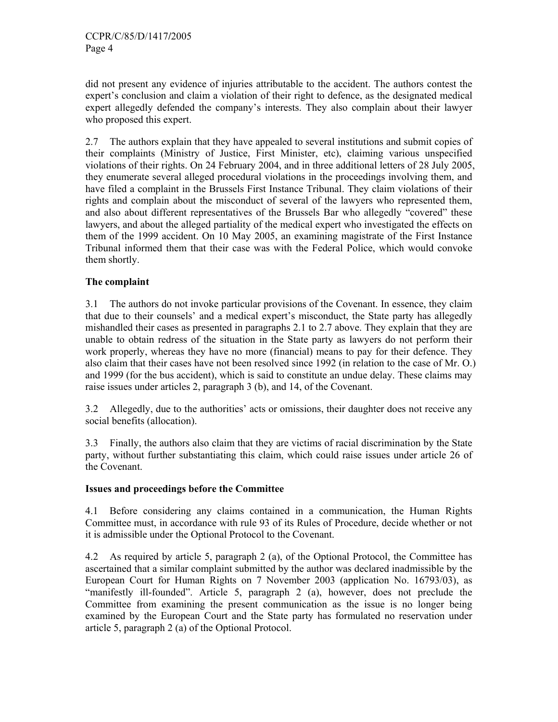did not present any evidence of injuries attributable to the accident. The authors contest the expert's conclusion and claim a violation of their right to defence, as the designated medical expert allegedly defended the company's interests. They also complain about their lawyer who proposed this expert.

2.7 The authors explain that they have appealed to several institutions and submit copies of their complaints (Ministry of Justice, First Minister, etc), claiming various unspecified violations of their rights. On 24 February 2004, and in three additional letters of 28 July 2005, they enumerate several alleged procedural violations in the proceedings involving them, and have filed a complaint in the Brussels First Instance Tribunal. They claim violations of their rights and complain about the misconduct of several of the lawyers who represented them, and also about different representatives of the Brussels Bar who allegedly "covered" these lawyers, and about the alleged partiality of the medical expert who investigated the effects on them of the 1999 accident. On 10 May 2005, an examining magistrate of the First Instance Tribunal informed them that their case was with the Federal Police, which would convoke them shortly.

# **The complaint**

3.1 The authors do not invoke particular provisions of the Covenant. In essence, they claim that due to their counsels' and a medical expert's misconduct, the State party has allegedly mishandled their cases as presented in paragraphs 2.1 to 2.7 above. They explain that they are unable to obtain redress of the situation in the State party as lawyers do not perform their work properly, whereas they have no more (financial) means to pay for their defence. They also claim that their cases have not been resolved since 1992 (in relation to the case of Mr. O.) and 1999 (for the bus accident), which is said to constitute an undue delay. These claims may raise issues under articles 2, paragraph 3 (b), and 14, of the Covenant.

3.2 Allegedly, due to the authorities' acts or omissions, their daughter does not receive any social benefits (allocation).

3.3 Finally, the authors also claim that they are victims of racial discrimination by the State party, without further substantiating this claim, which could raise issues under article 26 of the Covenant.

# **Issues and proceedings before the Committee**

4.1 Before considering any claims contained in a communication, the Human Rights Committee must, in accordance with rule 93 of its Rules of Procedure, decide whether or not it is admissible under the Optional Protocol to the Covenant.

4.2 As required by article 5, paragraph 2 (a), of the Optional Protocol, the Committee has ascertained that a similar complaint submitted by the author was declared inadmissible by the European Court for Human Rights on 7 November 2003 (application No. 16793/03), as "manifestly ill-founded". Article 5, paragraph 2 (a), however, does not preclude the Committee from examining the present communication as the issue is no longer being examined by the European Court and the State party has formulated no reservation under article 5, paragraph 2 (a) of the Optional Protocol.